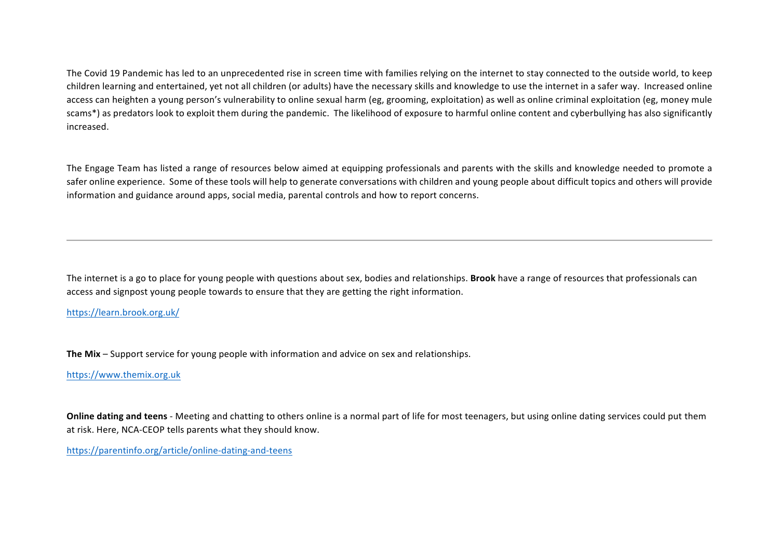The Covid 19 Pandemic has led to an unprecedented rise in screen time with families relying on the internet to stay connected to the outside world, to keep children learning and entertained, yet not all children (or adults) have the necessary skills and knowledge to use the internet in a safer way. Increased online access can heighten a young person's vulnerability to online sexual harm (eg, grooming, exploitation) as well as online criminal exploitation (eg, money mule scams\*) as predators look to exploit them during the pandemic. The likelihood of exposure to harmful online content and cyberbullying has also significantly increased. 

The Engage Team has listed a range of resources below aimed at equipping professionals and parents with the skills and knowledge needed to promote a safer online experience. Some of these tools will help to generate conversations with children and young people about difficult topics and others will provide information and guidance around apps, social media, parental controls and how to report concerns.

The internet is a go to place for young people with questions about sex, bodies and relationships. **Brook** have a range of resources that professionals can access and signpost young people towards to ensure that they are getting the right information.

## https://learn.brook.org.uk/

**The Mix** – Support service for young people with information and advice on sex and relationships.

#### https://www.themix.org.uk

**Online dating and teens** - Meeting and chatting to others online is a normal part of life for most teenagers, but using online dating services could put them at risk. Here, NCA-CEOP tells parents what they should know.

https://parentinfo.org/article/online-dating-and-teens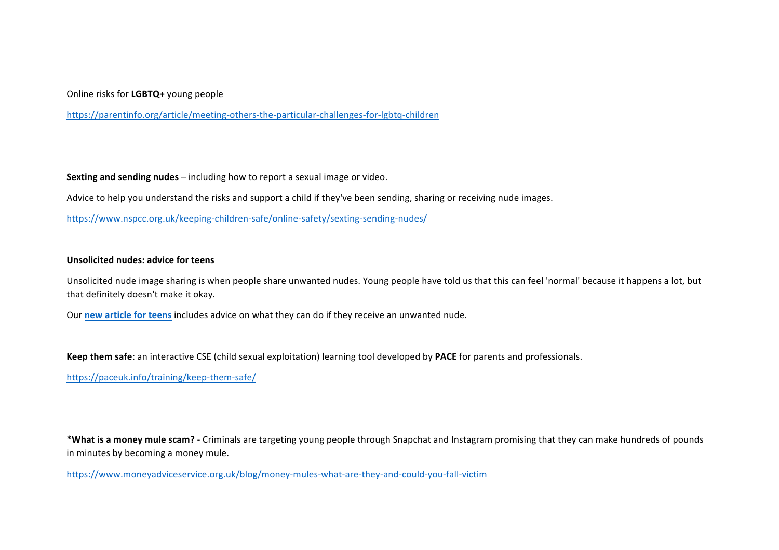### Online risks for LGBTQ+ young people

https://parentinfo.org/article/meeting-others-the-particular-challenges-for-lgbtq-children

**Sexting and sending nudes** – including how to report a sexual image or video.

Advice to help you understand the risks and support a child if they've been sending, sharing or receiving nude images.

https://www.nspcc.org.uk/keeping-children-safe/online-safety/sexting-sending-nudes/

#### **Unsolicited nudes: advice for teens**

Unsolicited nude image sharing is when people share unwanted nudes. Young people have told us that this can feel 'normal' because it happens a lot, but that definitely doesn't make it okay.

Our new article for teens includes advice on what they can do if they receive an unwanted nude.

Keep them safe: an interactive CSE (child sexual exploitation) learning tool developed by PACE for parents and professionals.

https://paceuk.info/training/keep-them-safe/

\*What is a money mule scam? - Criminals are targeting young people through Snapchat and Instagram promising that they can make hundreds of pounds in minutes by becoming a money mule.

https://www.moneyadviceservice.org.uk/blog/money-mules-what-are-they-and-could-you-fall-victim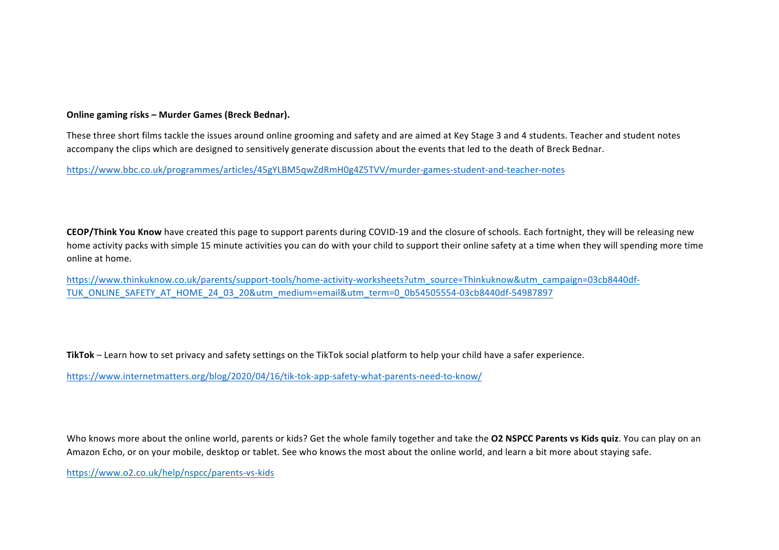#### **Online gaming risks – Murder Games (Breck Bednar).**

These three short films tackle the issues around online grooming and safety and are aimed at Key Stage 3 and 4 students. Teacher and student notes accompany the clips which are designed to sensitively generate discussion about the events that led to the death of Breck Bednar.

https://www.bbc.co.uk/programmes/articles/45gYLBM5qwZdRmH0g4Z5TVV/murder-games-student-and-teacher-notes

**CEOP/Think You Know** have created this page to support parents during COVID-19 and the closure of schools. Each fortnight, they will be releasing new home activity packs with simple 15 minute activities you can do with your child to support their online safety at a time when they will spending more time online at home.

https://www.thinkuknow.co.uk/parents/support-tools/home-activity-worksheets?utm\_source=Thinkuknow&utm\_campaign=03cb8440df-TUK\_ONLINE\_SAFETY\_AT\_HOME\_24\_03\_20&utm\_medium=email&utm\_term=0\_0b54505554-03cb8440df-54987897

TikTok – Learn how to set privacy and safety settings on the TikTok social platform to help your child have a safer experience.

https://www.internetmatters.org/blog/2020/04/16/tik-tok-app-safety-what-parents-need-to-know/

Who knows more about the online world, parents or kids? Get the whole family together and take the **O2 NSPCC Parents vs Kids quiz**. You can play on an Amazon Echo, or on your mobile, desktop or tablet. See who knows the most about the online world, and learn a bit more about staying safe.

https://www.o2.co.uk/help/nspcc/parents-vs-kids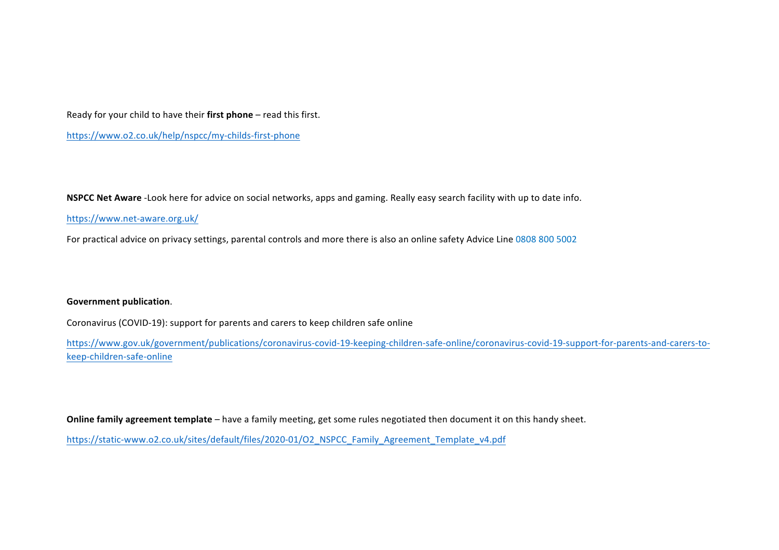Ready for your child to have their first phone – read this first.

https://www.o2.co.uk/help/nspcc/my-childs-first-phone

**NSPCC Net Aware** -Look here for advice on social networks, apps and gaming. Really easy search facility with up to date info.

https://www.net-aware.org.uk/

For practical advice on privacy settings, parental controls and more there is also an online safety Advice Line 0808 800 5002

## **Government publication.**

Coronavirus (COVID-19): support for parents and carers to keep children safe online

https://www.gov.uk/government/publications/coronavirus-covid-19-keeping-children-safe-online/coronavirus-covid-19-support-for-parents-and-carers-tokeep-children-safe-online

**Online family agreement template** – have a family meeting, get some rules negotiated then document it on this handy sheet.

https://static-www.o2.co.uk/sites/default/files/2020-01/O2\_NSPCC\_Family\_Agreement\_Template\_v4.pdf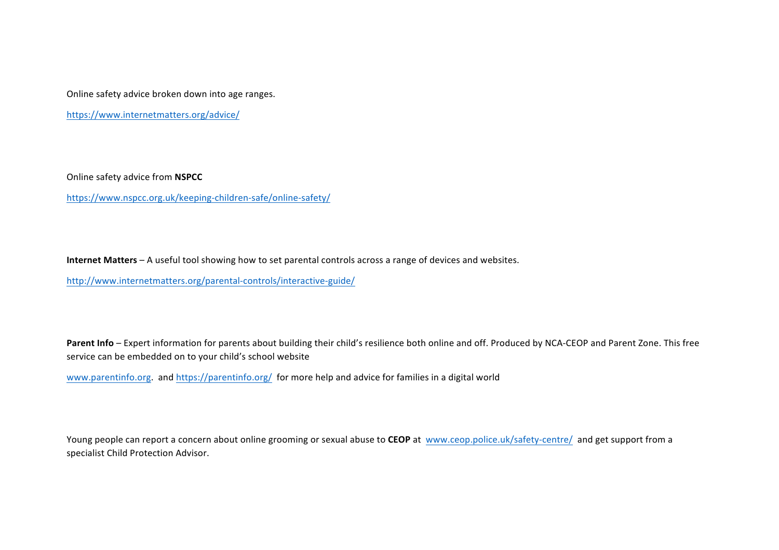Online safety advice broken down into age ranges.

https://www.internetmatters.org/advice/

Online safety advice from **NSPCC**

https://www.nspcc.org.uk/keeping-children-safe/online-safety/

**Internet Matters** – A useful tool showing how to set parental controls across a range of devices and websites.

http://www.internetmatters.org/parental-controls/interactive-guide/

Parent Info – Expert information for parents about building their child's resilience both online and off. Produced by NCA-CEOP and Parent Zone. This free service can be embedded on to your child's school website

www.parentinfo.org. and https://parentinfo.org/ for more help and advice for families in a digital world

Young people can report a concern about online grooming or sexual abuse to CEOP at www.ceop.police.uk/safety-centre/ and get support from a specialist Child Protection Advisor.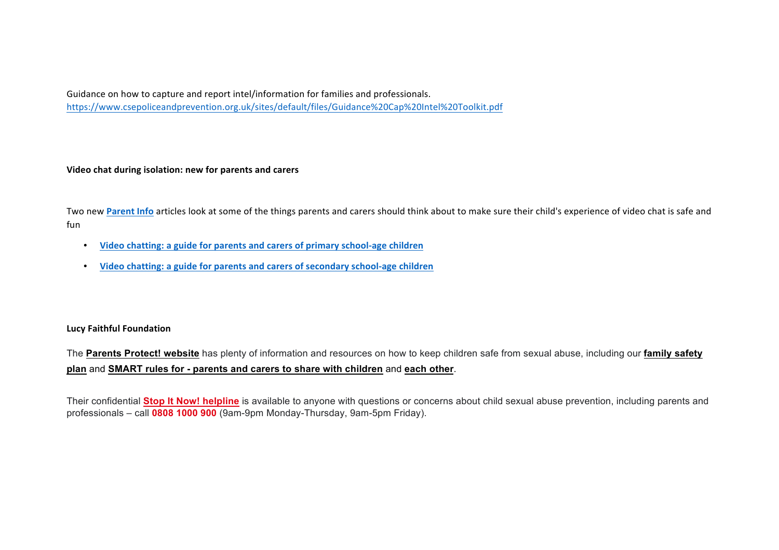Guidance on how to capture and report intel/information for families and professionals. https://www.csepoliceandprevention.org.uk/sites/default/files/Guidance%20Cap%20Intel%20Toolkit.pdf

## **Video chat during isolation: new for parents and carers**

Two new Parent Info articles look at some of the things parents and carers should think about to make sure their child's experience of video chat is safe and fun

- Video chatting: a guide for parents and carers of primary school-age children
- Video chatting: a guide for parents and carers of secondary school-age children

## **Lucy Faithful Foundation**

The **Parents Protect! website** has plenty of information and resources on how to keep children safe from sexual abuse, including our **family safety plan** and **SMART rules for - parents and carers to share with children** and **each other**.

Their confidential **Stop It Now! helpline** is available to anyone with questions or concerns about child sexual abuse prevention, including parents and professionals – call **0808 1000 900** (9am-9pm Monday-Thursday, 9am-5pm Friday).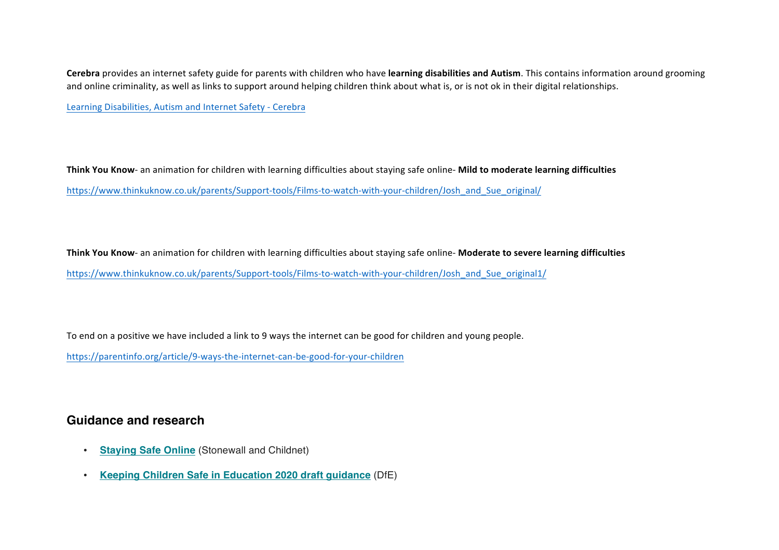**Cerebra** provides an internet safety guide for parents with children who have learning disabilities and Autism. This contains information around grooming and online criminality, as well as links to support around helping children think about what is, or is not ok in their digital relationships.

Learning Disabilities, Autism and Internet Safety - Cerebra

Think You Know- an animation for children with learning difficulties about staying safe online- Mild to moderate learning difficulties https://www.thinkuknow.co.uk/parents/Support-tools/Films-to-watch-with-your-children/Josh\_and\_Sue\_original/

Think You Know- an animation for children with learning difficulties about staying safe online- Moderate to severe learning difficulties https://www.thinkuknow.co.uk/parents/Support-tools/Films-to-watch-with-your-children/Josh\_and\_Sue\_original1/

To end on a positive we have included a link to 9 ways the internet can be good for children and young people.

https://parentinfo.org/article/9-ways-the-internet-can-be-good-for-your-children

# **Guidance and research**

- **Staying Safe Online** (Stonewall and Childnet)
- **Keeping Children Safe in Education 2020 draft guidance** (DfE)